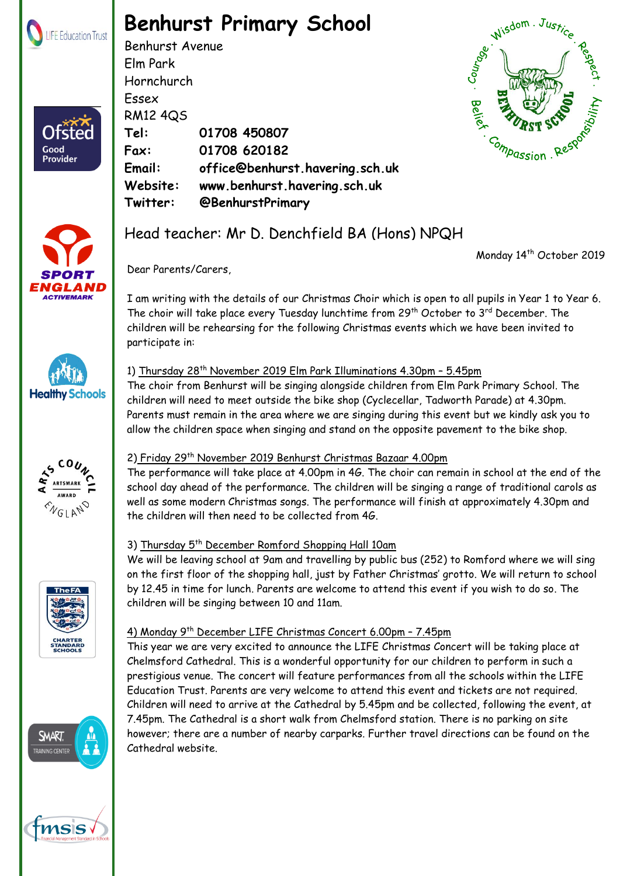

Ofster

Good Provider

# **Benhurst Primary School**

Benhurst Avenue Elm Park Hornchurch Essex RM12 4QS **Tel: 01708 450807 Fax: 01708 620182 Email: office@benhurst.havering.sch.uk Website: www.benhurst.havering.sch.uk Twitter: @BenhurstPrimary**





## Head teacher: Mr D. Denchfield BA (Hons) NPQH

Monday 14<sup>th</sup> October 2019







Dear Parents/Carers,

### 1) Thursday 28<sup>th</sup> November 2019 Elm Park Illuminations 4.30pm - 5.45pm

The choir from Benhurst will be singing alongside children from Elm Park Primary School. The children will need to meet outside the bike shop (Cyclecellar, Tadworth Parade) at 4.30pm. Parents must remain in the area where we are singing during this event but we kindly ask you to allow the children space when singing and stand on the opposite pavement to the bike shop.



**Healthy Schools** 

### 2) Friday 29<sup>th</sup> November 2019 Benhurst Christmas Bazaar 4.00pm

The performance will take place at 4.00pm in 4G. The choir can remain in school at the end of the school day ahead of the performance. The children will be singing a range of traditional carols as well as some modern Christmas songs. The performance will finish at approximately 4.30pm and the children will then need to be collected from 4G.

### 3) Thursday 5th December Romford Shopping Hall 10am

We will be leaving school at 9am and travelling by public bus (252) to Romford where we will sing on the first floor of the shopping hall, just by Father Christmas' grotto. We will return to school by 12.45 in time for lunch. Parents are welcome to attend this event if you wish to do so. The children will be singing between 10 and 11am.

### 4) Monday 9th December LIFE Christmas Concert 6.00pm – 7.45pm

Registered Address: The Frances Bardsley Academy for Girls, Brentwood Road, Romford. Essex. RM1 2RR

This year we are very excited to announce the LIFE Christmas Concert will be taking place at Chelmsford Cathedral. This is a wonderful opportunity for our children to perform in such a prestigious venue. The concert will feature performances from all the schools within the LIFE Education Trust. Parents are very welcome to attend this event and tickets are not required. Children will need to arrive at the Cathedral by 5.45pm and be collected, following the event, at 7.45pm. The Cathedral is a short walk from Chelmsford station. There is no parking on site however; there are a number of nearby carparks. Further travel directions can be found on the Cathedral website.